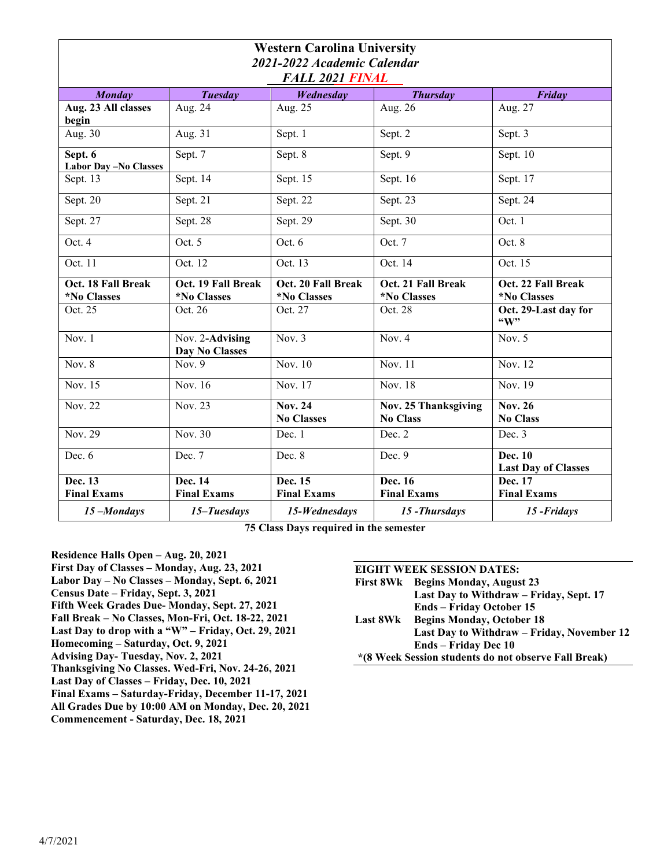| <b>Western Carolina University</b><br>2021-2022 Academic Calendar |                                   |                                                 |                                                |                                                 |
|-------------------------------------------------------------------|-----------------------------------|-------------------------------------------------|------------------------------------------------|-------------------------------------------------|
| <b>FALL 2021 FINAL</b>                                            |                                   |                                                 |                                                |                                                 |
| <b>Monday</b>                                                     | <b>Tuesday</b>                    | Wednesday                                       | <b>Thursday</b>                                | Friday                                          |
| Aug. 23 All classes<br>begin                                      | Aug. 24                           | Aug. 25                                         | Aug. 26                                        | Aug. $27$                                       |
| Aug. 30                                                           | Aug. $31$                         | Sept. 1                                         | Sept. 2                                        | Sept. 3                                         |
| Sept. 6<br><b>Labor Day-No Classes</b>                            | Sept. 7                           | Sept. 8                                         | Sept. 9                                        | Sept. 10                                        |
| Sept. 13                                                          | Sept. $1\overline{4}$             | Sept. 15                                        | Sept. 16                                       | Sept. 17                                        |
| Sept. 20                                                          | Sept. 21                          | Sept. 22                                        | Sept. 23                                       | Sept. 24                                        |
| Sept. 27                                                          | Sept. 28                          | Sept. 29                                        | Sept. 30                                       | Oct. 1                                          |
| Oct. $4$                                                          | Oct. $5$                          | Oct. 6                                          | Oct. 7                                         | Oct. 8                                          |
| Oct. 11                                                           | Oct. 12                           | Oct. 13                                         | Oct. 14                                        | Oct. 15                                         |
| Oct. 18 Fall Break<br><i><b>*No Classes</b></i>                   | Oct. 19 Fall Break<br>*No Classes | Oct. 20 Fall Break<br><i><b>*No Classes</b></i> | Oct. 21 Fall Break<br>*No Classes              | Oct. 22 Fall Break<br><i><b>*No Classes</b></i> |
| Oct. 25                                                           | Oct. 26                           | Oct. 27                                         | Oct. 28                                        | Oct. 29-Last day for<br>$\mathbf{``W"}$         |
| Nov. $1$                                                          | Nov. 2-Advising<br>Day No Classes | Nov. $3$                                        | Nov. 4                                         | Nov. $5$                                        |
| Nov. $8$                                                          | Nov. $9$                          | Nov. 10                                         | Nov. 11                                        | Nov. 12                                         |
| Nov. 15                                                           | Nov. 16                           | Nov. $1\overline{7}$                            | Nov. 18                                        | Nov. 19                                         |
| Nov. 22                                                           | Nov. 23                           | <b>Nov. 24</b><br><b>No Classes</b>             | <b>Nov. 25 Thanksgiving</b><br><b>No Class</b> | <b>Nov. 26</b><br><b>No Class</b>               |
| Nov. 29                                                           | Nov. 30                           | Dec. 1                                          | Dec. 2                                         | Dec. 3                                          |
| Dec. 6                                                            | Dec. 7                            | Dec. 8                                          | Dec. 9                                         | Dec. 10<br><b>Last Day of Classes</b>           |
| Dec. 13<br><b>Final Exams</b>                                     | Dec. 14<br><b>Final Exams</b>     | Dec. 15<br><b>Final Exams</b>                   | Dec. 16<br><b>Final Exams</b>                  | Dec. 17<br><b>Final Exams</b>                   |
| 15-Mondays                                                        | 15-Tuesdays                       | 15-Wednesdays                                   | 15-Thursdays                                   | 15-Fridays                                      |

**75 Class Days required in the semester**

**Residence Halls Open – Aug. 20, 2021 First Day of Classes – Monday, Aug. 23, 2021 Labor Day – No Classes – Monday, Sept. 6, 2021 Census Date – Friday, Sept. 3, 2021 Fifth Week Grades Due- Monday, Sept. 27, 2021 Fall Break – No Classes, Mon-Fri, Oct. 18-22, 2021 Last Day to drop with a "W" – Friday, Oct. 29, 2021 Homecoming – Saturday, Oct. 9, 2021 Advising Day- Tuesday, Nov. 2, 2021 Thanksgiving No Classes. Wed-Fri, Nov. 24-26, 2021 Last Day of Classes – Friday, Dec. 10, 2021 Final Exams – Saturday-Friday, December 11-17, 2021 All Grades Due by 10:00 AM on Monday, Dec. 20, 2021 Commencement - Saturday, Dec. 18, 2021** 

## **EIGHT WEEK SESSION DATES:**

|          | First 8Wk Begins Monday, August 23         |
|----------|--------------------------------------------|
|          | Last Day to Withdraw – Friday, Sept. 17    |
|          | <b>Ends</b> – Friday October 15            |
| Last 8Wk | <b>Begins Monday, October 18</b>           |
|          | Last Day to Withdraw – Friday, November 12 |
|          | <b>Ends</b> – Friday Dec 10                |
|          | .                                          |

**\*(8 Week Session students do not observe Fall Break)**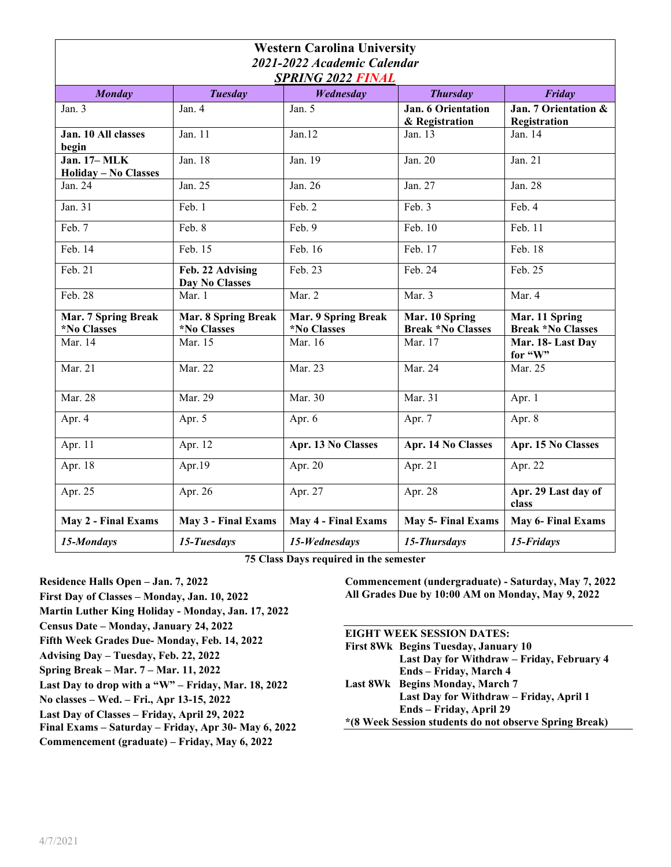| <b>Western Carolina University</b>                      |                                    |                                                  |                                            |                                            |
|---------------------------------------------------------|------------------------------------|--------------------------------------------------|--------------------------------------------|--------------------------------------------|
| 2021-2022 Academic Calendar<br><b>SPRING 2022 FINAL</b> |                                    |                                                  |                                            |                                            |
| <b>Monday</b>                                           | <b>Tuesday</b>                     | Wednesday                                        | <b>Thursday</b>                            | Friday                                     |
| Jan. $3$                                                | Jan. 4                             | Jan. 5                                           | Jan. 6 Orientation<br>& Registration       | Jan. 7 Orientation &<br>Registration       |
| Jan. 10 All classes<br>begin                            | Jan. 11                            | Jan.12                                           | Jan. 13                                    | Jan. 14                                    |
| <b>Jan. 17-MLK</b><br><b>Holiday - No Classes</b>       | Jan. 18                            | Jan. 19                                          | Jan. 20                                    | Jan. 21                                    |
| Jan. 24                                                 | Jan. 25                            | Jan. 26                                          | Jan. 27                                    | Jan. 28                                    |
| Jan. 31                                                 | Feb. 1                             | Feb. 2                                           | Feb. 3                                     | Feb. 4                                     |
| Feb. 7                                                  | Feb. 8                             | Feb. 9                                           | Feb. 10                                    | Feb. 11                                    |
| Feb. 14                                                 | Feb. 15                            | $\overline{\text{Fe}}$ b. 16                     | Feb. 17                                    | Feb. 18                                    |
| Feb. 21                                                 | Feb. 22 Advising<br>Day No Classes | Feb. 23                                          | Feb. 24                                    | Feb. 25                                    |
| Feb. 28                                                 | Mar. 1                             | Mar. 2                                           | Mar. 3                                     | Mar. 4                                     |
| Mar. 7 Spring Break<br>*No Classes                      | Mar. 8 Spring Break<br>*No Classes | Mar. 9 Spring Break<br><i><b>*No Classes</b></i> | Mar. 10 Spring<br><b>Break *No Classes</b> | Mar. 11 Spring<br><b>Break *No Classes</b> |
| Mar. 14                                                 | Mar. 15                            | Mar. 16                                          | Mar. 17                                    | Mar. 18-Last Day<br>for "W"                |
| Mar. 21                                                 | Mar. 22                            | Mar. 23                                          | Mar. 24                                    | Mar. 25                                    |
| Mar. 28                                                 | Mar. 29                            | Mar. 30                                          | Mar. 31                                    | Apr. 1                                     |
| Apr. 4                                                  | Apr. 5                             | Apr. 6                                           | Apr. 7                                     | Apr. 8                                     |
| Apr. 11                                                 | Apr. 12                            | Apr. 13 No Classes                               | Apr. 14 No Classes                         | Apr. 15 No Classes                         |
| Apr. 18                                                 | Apr.19                             | Apr. 20                                          | Apr. 21                                    | Apr. 22                                    |
| Apr. 25                                                 | Apr. 26                            | Apr. 27                                          | Apr. 28                                    | Apr. 29 Last day of<br>class               |
| May 2 - Final Exams                                     | May 3 - Final Exams                | May 4 - Final Exams                              | <b>May 5- Final Exams</b>                  | <b>May 6- Final Exams</b>                  |
| 15-Mondays                                              | 15-Tuesdays                        | 15-Wednesdays                                    | 15-Thursdays                               | 15-Fridays                                 |

**75 Class Days required in the semester**

**Residence Halls Open – Jan. 7, 2022**

- **First Day of Classes Monday, Jan. 10, 2022**
- **Martin Luther King Holiday Monday, Jan. 17, 2022**
- **Census Date Monday, January 24, 2022**
- **Fifth Week Grades Due- Monday, Feb. 14, 2022**
- **Advising Day Tuesday, Feb. 22, 2022**
- **Spring Break Mar. 7 Mar. 11, 2022**
- **Last Day to drop with a "W" Friday, Mar. 18, 2022**
- **No classes Wed. Fri., Apr 13-15, 2022**
- **Last Day of Classes Friday, April 29, 2022**
- **Final Exams Saturday Friday, Apr 30- May 6, 2022**
- **Commencement (graduate) Friday, May 6, 2022**

**Commencement (undergraduate) - Saturday, May 7, 2022 All Grades Due by 10:00 AM on Monday, May 9, 2022**

## **EIGHT WEEK SESSION DATES: First 8Wk Begins Tuesday, January 10 Last Day for Withdraw – Friday, February 4 Ends – Friday, March 4 Last 8Wk Begins Monday, March 7 Last Day for Withdraw – Friday, April 1 Ends – Friday, April 29 \*(8 Week Session students do not observe Spring Break)**